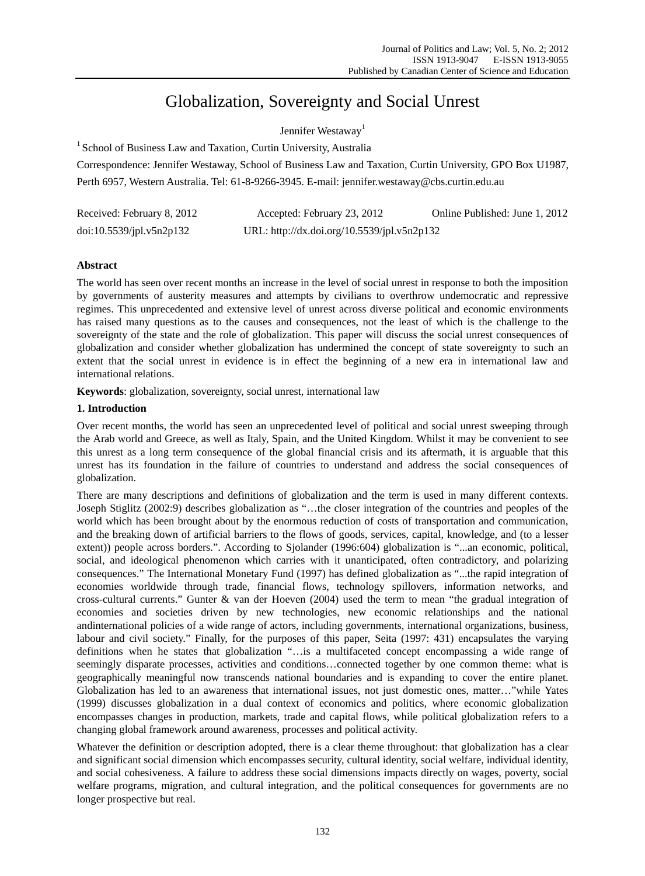# Globalization, Sovereignty and Social Unrest

Jennifer Westaway<sup>1</sup>

 $1$  School of Business Law and Taxation, Curtin University, Australia

Correspondence: Jennifer Westaway, School of Business Law and Taxation, Curtin University, GPO Box U1987, Perth 6957, Western Australia. Tel: 61-8-9266-3945. E-mail: jennifer.westaway@cbs.curtin.edu.au

| Received: February 8, 2012 | Accepted: February 23, 2012                 | Online Published: June 1, 2012 |
|----------------------------|---------------------------------------------|--------------------------------|
| doi:10.5539/ipl.v5n2p132   | URL: http://dx.doi.org/10.5539/jpl.v5n2p132 |                                |

# **Abstract**

The world has seen over recent months an increase in the level of social unrest in response to both the imposition by governments of austerity measures and attempts by civilians to overthrow undemocratic and repressive regimes. This unprecedented and extensive level of unrest across diverse political and economic environments has raised many questions as to the causes and consequences, not the least of which is the challenge to the sovereignty of the state and the role of globalization. This paper will discuss the social unrest consequences of globalization and consider whether globalization has undermined the concept of state sovereignty to such an extent that the social unrest in evidence is in effect the beginning of a new era in international law and international relations.

**Keywords**: globalization, sovereignty, social unrest, international law

# **1. Introduction**

Over recent months, the world has seen an unprecedented level of political and social unrest sweeping through the Arab world and Greece, as well as Italy, Spain, and the United Kingdom. Whilst it may be convenient to see this unrest as a long term consequence of the global financial crisis and its aftermath, it is arguable that this unrest has its foundation in the failure of countries to understand and address the social consequences of globalization.

There are many descriptions and definitions of globalization and the term is used in many different contexts. Joseph Stiglitz (2002:9) describes globalization as "…the closer integration of the countries and peoples of the world which has been brought about by the enormous reduction of costs of transportation and communication, and the breaking down of artificial barriers to the flows of goods, services, capital, knowledge, and (to a lesser extent)) people across borders.". According to Sjolander (1996:604) globalization is "...an economic, political, social, and ideological phenomenon which carries with it unanticipated, often contradictory, and polarizing consequences." The International Monetary Fund (1997) has defined globalization as "...the rapid integration of economies worldwide through trade, financial flows, technology spillovers, information networks, and cross-cultural currents." Gunter & van der Hoeven (2004) used the term to mean "the gradual integration of economies and societies driven by new technologies, new economic relationships and the national andinternational policies of a wide range of actors, including governments, international organizations, business, labour and civil society." Finally, for the purposes of this paper, Seita (1997: 431) encapsulates the varying definitions when he states that globalization "…is a multifaceted concept encompassing a wide range of seemingly disparate processes, activities and conditions…connected together by one common theme: what is geographically meaningful now transcends national boundaries and is expanding to cover the entire planet. Globalization has led to an awareness that international issues, not just domestic ones, matter…"while Yates (1999) discusses globalization in a dual context of economics and politics, where economic globalization encompasses changes in production, markets, trade and capital flows, while political globalization refers to a changing global framework around awareness, processes and political activity.

Whatever the definition or description adopted, there is a clear theme throughout: that globalization has a clear and significant social dimension which encompasses security, cultural identity, social welfare, individual identity, and social cohesiveness. A failure to address these social dimensions impacts directly on wages, poverty, social welfare programs, migration, and cultural integration, and the political consequences for governments are no longer prospective but real.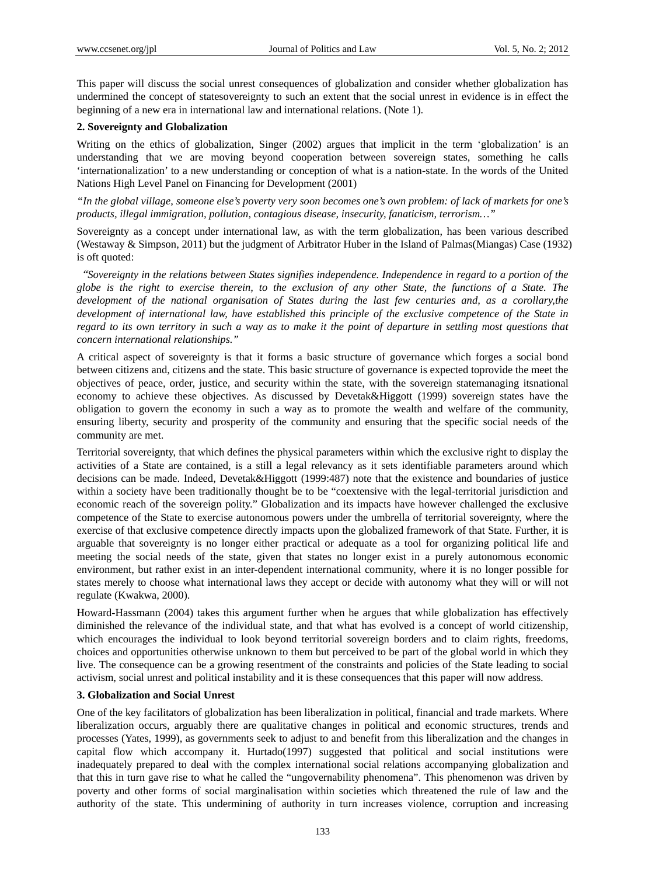This paper will discuss the social unrest consequences of globalization and consider whether globalization has undermined the concept of statesovereignty to such an extent that the social unrest in evidence is in effect the beginning of a new era in international law and international relations. (Note 1).

# **2. Sovereignty and Globalization**

Writing on the ethics of globalization, Singer (2002) argues that implicit in the term 'globalization' is an understanding that we are moving beyond cooperation between sovereign states, something he calls 'internationalization' to a new understanding or conception of what is a nation-state. In the words of the United Nations High Level Panel on Financing for Development (2001)

*"In the global village, someone else's poverty very soon becomes one's own problem: of lack of markets for one's products, illegal immigration, pollution, contagious disease, insecurity, fanaticism, terrorism…"* 

Sovereignty as a concept under international law, as with the term globalization, has been various described (Westaway & Simpson, 2011) but the judgment of Arbitrator Huber in the Island of Palmas(Miangas) Case (1932) is oft quoted:

"*Sovereignty in the relations between States signifies independence. Independence in regard to a portion of the globe is the right to exercise therein, to the exclusion of any other State, the functions of a State. The development of the national organisation of States during the last few centuries and, as a corollary,the development of international law, have established this principle of the exclusive competence of the State in regard to its own territory in such a way as to make it the point of departure in settling most questions that concern international relationships."* 

A critical aspect of sovereignty is that it forms a basic structure of governance which forges a social bond between citizens and, citizens and the state. This basic structure of governance is expected toprovide the meet the objectives of peace, order, justice, and security within the state, with the sovereign statemanaging itsnational economy to achieve these objectives. As discussed by Devetak&Higgott (1999) sovereign states have the obligation to govern the economy in such a way as to promote the wealth and welfare of the community, ensuring liberty, security and prosperity of the community and ensuring that the specific social needs of the community are met.

Territorial sovereignty, that which defines the physical parameters within which the exclusive right to display the activities of a State are contained, is a still a legal relevancy as it sets identifiable parameters around which decisions can be made. Indeed, Devetak&Higgott (1999:487) note that the existence and boundaries of justice within a society have been traditionally thought be to be "coextensive with the legal-territorial jurisdiction and economic reach of the sovereign polity." Globalization and its impacts have however challenged the exclusive competence of the State to exercise autonomous powers under the umbrella of territorial sovereignty, where the exercise of that exclusive competence directly impacts upon the globalized framework of that State. Further, it is arguable that sovereignty is no longer either practical or adequate as a tool for organizing political life and meeting the social needs of the state, given that states no longer exist in a purely autonomous economic environment, but rather exist in an inter-dependent international community, where it is no longer possible for states merely to choose what international laws they accept or decide with autonomy what they will or will not regulate (Kwakwa, 2000).

Howard-Hassmann (2004) takes this argument further when he argues that while globalization has effectively diminished the relevance of the individual state, and that what has evolved is a concept of world citizenship, which encourages the individual to look beyond territorial sovereign borders and to claim rights, freedoms, choices and opportunities otherwise unknown to them but perceived to be part of the global world in which they live. The consequence can be a growing resentment of the constraints and policies of the State leading to social activism, social unrest and political instability and it is these consequences that this paper will now address.

# **3. Globalization and Social Unrest**

One of the key facilitators of globalization has been liberalization in political, financial and trade markets. Where liberalization occurs, arguably there are qualitative changes in political and economic structures, trends and processes (Yates, 1999), as governments seek to adjust to and benefit from this liberalization and the changes in capital flow which accompany it. Hurtado(1997) suggested that political and social institutions were inadequately prepared to deal with the complex international social relations accompanying globalization and that this in turn gave rise to what he called the "ungovernability phenomena". This phenomenon was driven by poverty and other forms of social marginalisation within societies which threatened the rule of law and the authority of the state. This undermining of authority in turn increases violence, corruption and increasing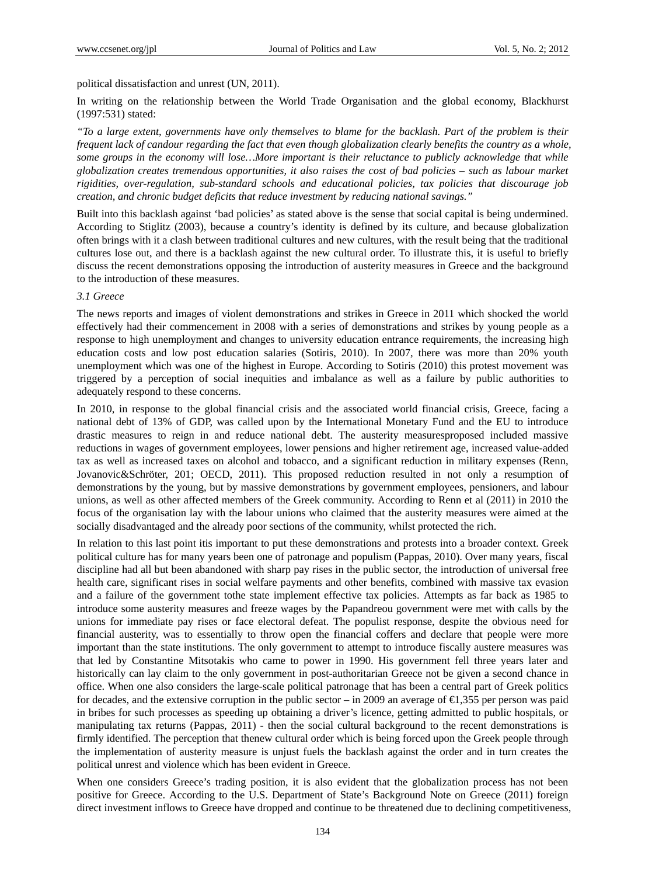political dissatisfaction and unrest (UN, 2011).

In writing on the relationship between the World Trade Organisation and the global economy, Blackhurst (1997:531) stated:

*"To a large extent, governments have only themselves to blame for the backlash. Part of the problem is their frequent lack of candour regarding the fact that even though globalization clearly benefits the country as a whole, some groups in the economy will lose…More important is their reluctance to publicly acknowledge that while globalization creates tremendous opportunities, it also raises the cost of bad policies – such as labour market rigidities, over-regulation, sub-standard schools and educational policies, tax policies that discourage job creation, and chronic budget deficits that reduce investment by reducing national savings."* 

Built into this backlash against 'bad policies' as stated above is the sense that social capital is being undermined. According to Stiglitz (2003), because a country's identity is defined by its culture, and because globalization often brings with it a clash between traditional cultures and new cultures, with the result being that the traditional cultures lose out, and there is a backlash against the new cultural order. To illustrate this, it is useful to briefly discuss the recent demonstrations opposing the introduction of austerity measures in Greece and the background to the introduction of these measures.

## *3.1 Greece*

The news reports and images of violent demonstrations and strikes in Greece in 2011 which shocked the world effectively had their commencement in 2008 with a series of demonstrations and strikes by young people as a response to high unemployment and changes to university education entrance requirements, the increasing high education costs and low post education salaries (Sotiris, 2010). In 2007, there was more than 20% youth unemployment which was one of the highest in Europe. According to Sotiris (2010) this protest movement was triggered by a perception of social inequities and imbalance as well as a failure by public authorities to adequately respond to these concerns.

In 2010, in response to the global financial crisis and the associated world financial crisis, Greece, facing a national debt of 13% of GDP, was called upon by the International Monetary Fund and the EU to introduce drastic measures to reign in and reduce national debt. The austerity measuresproposed included massive reductions in wages of government employees, lower pensions and higher retirement age, increased value-added tax as well as increased taxes on alcohol and tobacco, and a significant reduction in military expenses (Renn, Jovanovic&Schröter, 201; OECD, 2011). This proposed reduction resulted in not only a resumption of demonstrations by the young, but by massive demonstrations by government employees, pensioners, and labour unions, as well as other affected members of the Greek community. According to Renn et al (2011) in 2010 the focus of the organisation lay with the labour unions who claimed that the austerity measures were aimed at the socially disadvantaged and the already poor sections of the community, whilst protected the rich.

In relation to this last point itis important to put these demonstrations and protests into a broader context. Greek political culture has for many years been one of patronage and populism (Pappas, 2010). Over many years, fiscal discipline had all but been abandoned with sharp pay rises in the public sector, the introduction of universal free health care, significant rises in social welfare payments and other benefits, combined with massive tax evasion and a failure of the government tothe state implement effective tax policies. Attempts as far back as 1985 to introduce some austerity measures and freeze wages by the Papandreou government were met with calls by the unions for immediate pay rises or face electoral defeat. The populist response, despite the obvious need for financial austerity, was to essentially to throw open the financial coffers and declare that people were more important than the state institutions. The only government to attempt to introduce fiscally austere measures was that led by Constantine Mitsotakis who came to power in 1990. His government fell three years later and historically can lay claim to the only government in post-authoritarian Greece not be given a second chance in office. When one also considers the large-scale political patronage that has been a central part of Greek politics for decades, and the extensive corruption in the public sector – in 2009 an average of  $\bigoplus$ ,355 per person was paid in bribes for such processes as speeding up obtaining a driver's licence, getting admitted to public hospitals, or manipulating tax returns (Pappas, 2011) - then the social cultural background to the recent demonstrations is firmly identified. The perception that thenew cultural order which is being forced upon the Greek people through the implementation of austerity measure is unjust fuels the backlash against the order and in turn creates the political unrest and violence which has been evident in Greece.

When one considers Greece's trading position, it is also evident that the globalization process has not been positive for Greece. According to the U.S. Department of State's Background Note on Greece (2011) foreign direct investment inflows to Greece have dropped and continue to be threatened due to declining competitiveness,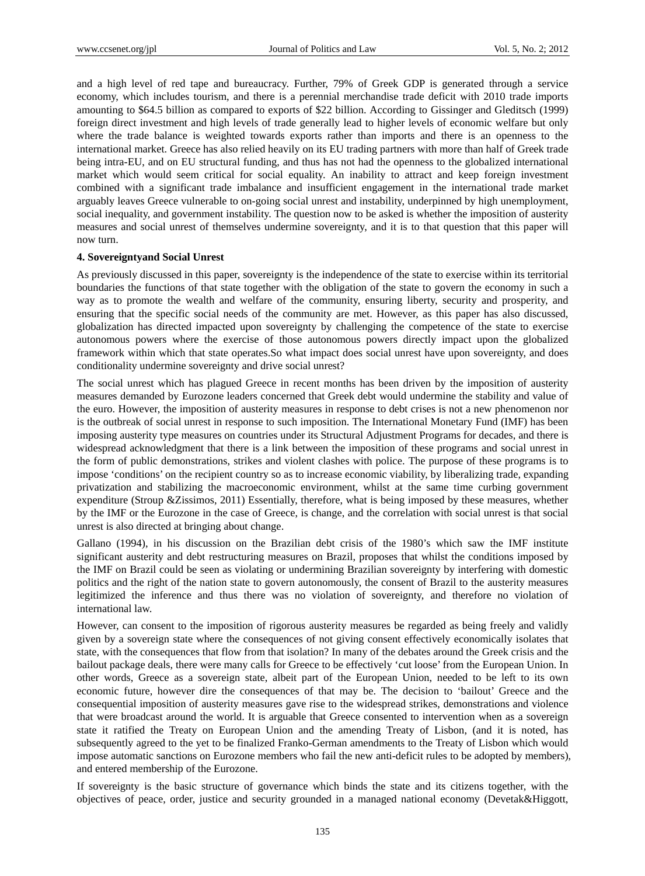and a high level of red tape and bureaucracy. Further, 79% of Greek GDP is generated through a service economy, which includes tourism, and there is a perennial merchandise trade deficit with 2010 trade imports amounting to \$64.5 billion as compared to exports of \$22 billion. According to Gissinger and Gleditsch (1999) foreign direct investment and high levels of trade generally lead to higher levels of economic welfare but only where the trade balance is weighted towards exports rather than imports and there is an openness to the international market. Greece has also relied heavily on its EU trading partners with more than half of Greek trade being intra-EU, and on EU structural funding, and thus has not had the openness to the globalized international market which would seem critical for social equality. An inability to attract and keep foreign investment combined with a significant trade imbalance and insufficient engagement in the international trade market arguably leaves Greece vulnerable to on-going social unrest and instability, underpinned by high unemployment, social inequality, and government instability. The question now to be asked is whether the imposition of austerity measures and social unrest of themselves undermine sovereignty, and it is to that question that this paper will now turn.

#### **4. Sovereigntyand Social Unrest**

As previously discussed in this paper, sovereignty is the independence of the state to exercise within its territorial boundaries the functions of that state together with the obligation of the state to govern the economy in such a way as to promote the wealth and welfare of the community, ensuring liberty, security and prosperity, and ensuring that the specific social needs of the community are met. However, as this paper has also discussed, globalization has directed impacted upon sovereignty by challenging the competence of the state to exercise autonomous powers where the exercise of those autonomous powers directly impact upon the globalized framework within which that state operates.So what impact does social unrest have upon sovereignty, and does conditionality undermine sovereignty and drive social unrest?

The social unrest which has plagued Greece in recent months has been driven by the imposition of austerity measures demanded by Eurozone leaders concerned that Greek debt would undermine the stability and value of the euro. However, the imposition of austerity measures in response to debt crises is not a new phenomenon nor is the outbreak of social unrest in response to such imposition. The International Monetary Fund (IMF) has been imposing austerity type measures on countries under its Structural Adjustment Programs for decades, and there is widespread acknowledgment that there is a link between the imposition of these programs and social unrest in the form of public demonstrations, strikes and violent clashes with police. The purpose of these programs is to impose 'conditions' on the recipient country so as to increase economic viability, by liberalizing trade, expanding privatization and stabilizing the macroeconomic environment, whilst at the same time curbing government expenditure (Stroup &Zissimos, 2011) Essentially, therefore, what is being imposed by these measures, whether by the IMF or the Eurozone in the case of Greece, is change, and the correlation with social unrest is that social unrest is also directed at bringing about change.

Gallano (1994), in his discussion on the Brazilian debt crisis of the 1980's which saw the IMF institute significant austerity and debt restructuring measures on Brazil, proposes that whilst the conditions imposed by the IMF on Brazil could be seen as violating or undermining Brazilian sovereignty by interfering with domestic politics and the right of the nation state to govern autonomously, the consent of Brazil to the austerity measures legitimized the inference and thus there was no violation of sovereignty, and therefore no violation of international law.

However, can consent to the imposition of rigorous austerity measures be regarded as being freely and validly given by a sovereign state where the consequences of not giving consent effectively economically isolates that state, with the consequences that flow from that isolation? In many of the debates around the Greek crisis and the bailout package deals, there were many calls for Greece to be effectively 'cut loose' from the European Union. In other words, Greece as a sovereign state, albeit part of the European Union, needed to be left to its own economic future, however dire the consequences of that may be. The decision to 'bailout' Greece and the consequential imposition of austerity measures gave rise to the widespread strikes, demonstrations and violence that were broadcast around the world. It is arguable that Greece consented to intervention when as a sovereign state it ratified the Treaty on European Union and the amending Treaty of Lisbon, (and it is noted, has subsequently agreed to the yet to be finalized Franko-German amendments to the Treaty of Lisbon which would impose automatic sanctions on Eurozone members who fail the new anti-deficit rules to be adopted by members), and entered membership of the Eurozone.

If sovereignty is the basic structure of governance which binds the state and its citizens together, with the objectives of peace, order, justice and security grounded in a managed national economy (Devetak&Higgott,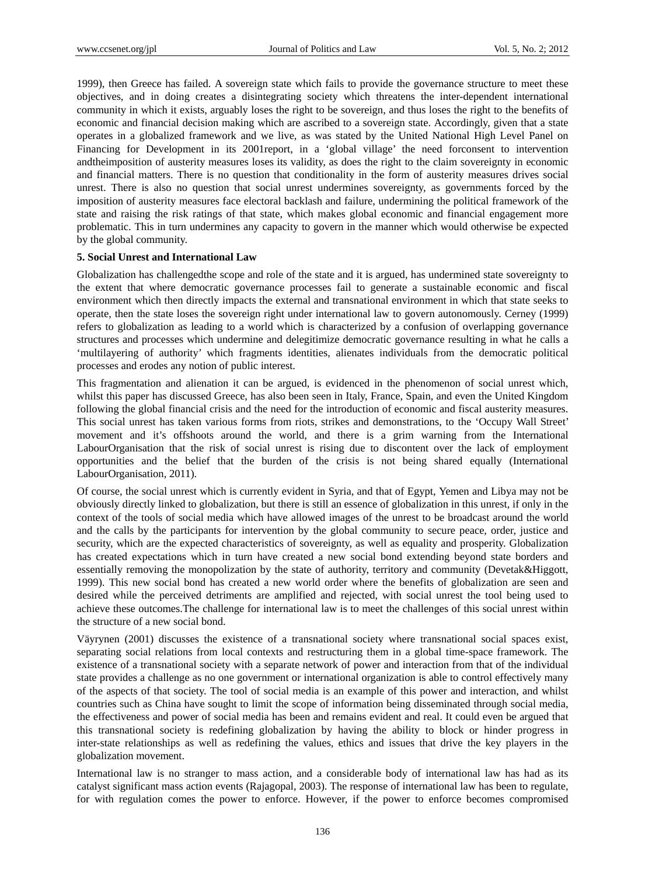1999), then Greece has failed. A sovereign state which fails to provide the governance structure to meet these objectives, and in doing creates a disintegrating society which threatens the inter-dependent international community in which it exists, arguably loses the right to be sovereign, and thus loses the right to the benefits of economic and financial decision making which are ascribed to a sovereign state. Accordingly, given that a state operates in a globalized framework and we live, as was stated by the United National High Level Panel on Financing for Development in its 2001report, in a 'global village' the need forconsent to intervention andtheimposition of austerity measures loses its validity, as does the right to the claim sovereignty in economic and financial matters. There is no question that conditionality in the form of austerity measures drives social unrest. There is also no question that social unrest undermines sovereignty, as governments forced by the imposition of austerity measures face electoral backlash and failure, undermining the political framework of the state and raising the risk ratings of that state, which makes global economic and financial engagement more problematic. This in turn undermines any capacity to govern in the manner which would otherwise be expected by the global community.

## **5. Social Unrest and International Law**

Globalization has challengedthe scope and role of the state and it is argued, has undermined state sovereignty to the extent that where democratic governance processes fail to generate a sustainable economic and fiscal environment which then directly impacts the external and transnational environment in which that state seeks to operate, then the state loses the sovereign right under international law to govern autonomously. Cerney (1999) refers to globalization as leading to a world which is characterized by a confusion of overlapping governance structures and processes which undermine and delegitimize democratic governance resulting in what he calls a 'multilayering of authority' which fragments identities, alienates individuals from the democratic political processes and erodes any notion of public interest.

This fragmentation and alienation it can be argued, is evidenced in the phenomenon of social unrest which, whilst this paper has discussed Greece, has also been seen in Italy, France, Spain, and even the United Kingdom following the global financial crisis and the need for the introduction of economic and fiscal austerity measures. This social unrest has taken various forms from riots, strikes and demonstrations, to the 'Occupy Wall Street' movement and it's offshoots around the world, and there is a grim warning from the International LabourOrganisation that the risk of social unrest is rising due to discontent over the lack of employment opportunities and the belief that the burden of the crisis is not being shared equally (International LabourOrganisation, 2011).

Of course, the social unrest which is currently evident in Syria, and that of Egypt, Yemen and Libya may not be obviously directly linked to globalization, but there is still an essence of globalization in this unrest, if only in the context of the tools of social media which have allowed images of the unrest to be broadcast around the world and the calls by the participants for intervention by the global community to secure peace, order, justice and security, which are the expected characteristics of sovereignty, as well as equality and prosperity. Globalization has created expectations which in turn have created a new social bond extending beyond state borders and essentially removing the monopolization by the state of authority, territory and community (Devetak&Higgott, 1999). This new social bond has created a new world order where the benefits of globalization are seen and desired while the perceived detriments are amplified and rejected, with social unrest the tool being used to achieve these outcomes.The challenge for international law is to meet the challenges of this social unrest within the structure of a new social bond.

Väyrynen (2001) discusses the existence of a transnational society where transnational social spaces exist, separating social relations from local contexts and restructuring them in a global time-space framework. The existence of a transnational society with a separate network of power and interaction from that of the individual state provides a challenge as no one government or international organization is able to control effectively many of the aspects of that society. The tool of social media is an example of this power and interaction, and whilst countries such as China have sought to limit the scope of information being disseminated through social media, the effectiveness and power of social media has been and remains evident and real. It could even be argued that this transnational society is redefining globalization by having the ability to block or hinder progress in inter-state relationships as well as redefining the values, ethics and issues that drive the key players in the globalization movement.

International law is no stranger to mass action, and a considerable body of international law has had as its catalyst significant mass action events (Rajagopal, 2003). The response of international law has been to regulate, for with regulation comes the power to enforce. However, if the power to enforce becomes compromised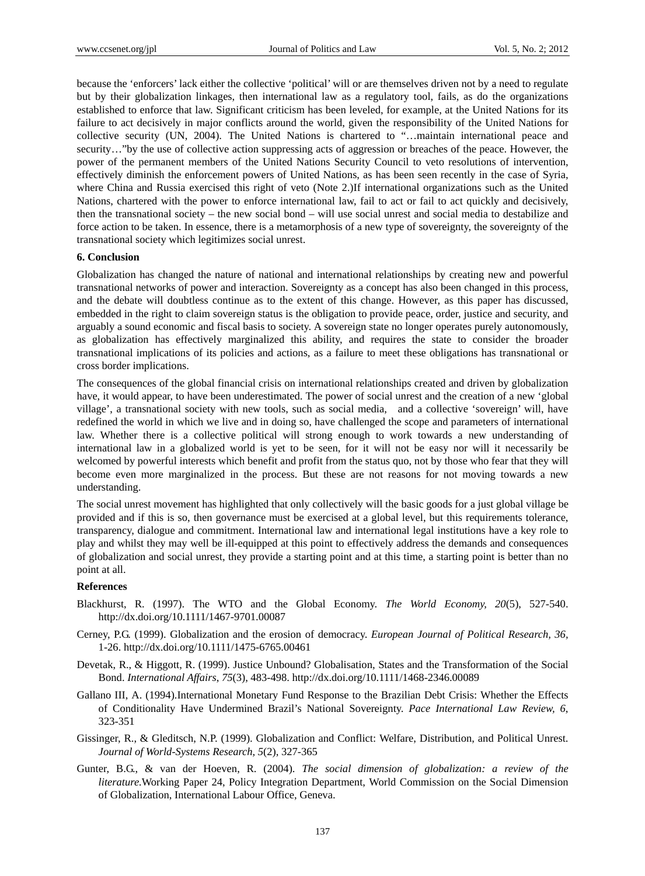because the 'enforcers' lack either the collective 'political' will or are themselves driven not by a need to regulate but by their globalization linkages, then international law as a regulatory tool, fails, as do the organizations established to enforce that law. Significant criticism has been leveled, for example, at the United Nations for its failure to act decisively in major conflicts around the world, given the responsibility of the United Nations for collective security (UN, 2004). The United Nations is chartered to "…maintain international peace and security..."by the use of collective action suppressing acts of aggression or breaches of the peace. However, the power of the permanent members of the United Nations Security Council to veto resolutions of intervention, effectively diminish the enforcement powers of United Nations, as has been seen recently in the case of Syria, where China and Russia exercised this right of veto (Note 2.)If international organizations such as the United Nations, chartered with the power to enforce international law, fail to act or fail to act quickly and decisively, then the transnational society – the new social bond – will use social unrest and social media to destabilize and force action to be taken. In essence, there is a metamorphosis of a new type of sovereignty, the sovereignty of the transnational society which legitimizes social unrest.

## **6. Conclusion**

Globalization has changed the nature of national and international relationships by creating new and powerful transnational networks of power and interaction. Sovereignty as a concept has also been changed in this process, and the debate will doubtless continue as to the extent of this change. However, as this paper has discussed, embedded in the right to claim sovereign status is the obligation to provide peace, order, justice and security, and arguably a sound economic and fiscal basis to society. A sovereign state no longer operates purely autonomously, as globalization has effectively marginalized this ability, and requires the state to consider the broader transnational implications of its policies and actions, as a failure to meet these obligations has transnational or cross border implications.

The consequences of the global financial crisis on international relationships created and driven by globalization have, it would appear, to have been underestimated. The power of social unrest and the creation of a new 'global village', a transnational society with new tools, such as social media, and a collective 'sovereign' will, have redefined the world in which we live and in doing so, have challenged the scope and parameters of international law. Whether there is a collective political will strong enough to work towards a new understanding of international law in a globalized world is yet to be seen, for it will not be easy nor will it necessarily be welcomed by powerful interests which benefit and profit from the status quo, not by those who fear that they will become even more marginalized in the process. But these are not reasons for not moving towards a new understanding.

The social unrest movement has highlighted that only collectively will the basic goods for a just global village be provided and if this is so, then governance must be exercised at a global level, but this requirements tolerance, transparency, dialogue and commitment. International law and international legal institutions have a key role to play and whilst they may well be ill-equipped at this point to effectively address the demands and consequences of globalization and social unrest, they provide a starting point and at this time, a starting point is better than no point at all.

## **References**

- Blackhurst, R. (1997). The WTO and the Global Economy. *The World Economy, 20*(5), 527-540. http://dx.doi.org/10.1111/1467-9701.00087
- Cerney, P.G. (1999). Globalization and the erosion of democracy. *European Journal of Political Research, 36,*  1-26. http://dx.doi.org/10.1111/1475-6765.00461
- Devetak, R., & Higgott, R. (1999). Justice Unbound? Globalisation, States and the Transformation of the Social Bond. *International Affairs*, *75*(3), 483-498. http://dx.doi.org/10.1111/1468-2346.00089
- Gallano III, A. (1994).International Monetary Fund Response to the Brazilian Debt Crisis: Whether the Effects of Conditionality Have Undermined Brazil's National Sovereignty. *Pace International Law Review, 6*, 323-351
- Gissinger, R., & Gleditsch, N.P. (1999). Globalization and Conflict: Welfare, Distribution, and Political Unrest. *Journal of World-Systems Research, 5*(2), 327-365
- Gunter, B.G., & van der Hoeven, R. (2004). *The social dimension of globalization: a review of the literature.*Working Paper 24, Policy Integration Department, World Commission on the Social Dimension of Globalization, International Labour Office, Geneva.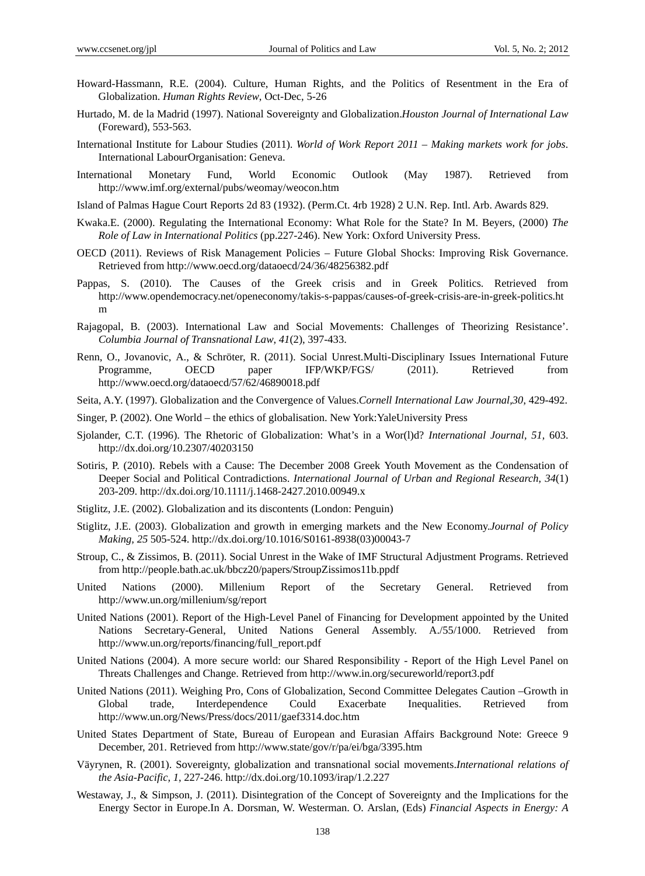- Howard-Hassmann, R.E. (2004). Culture, Human Rights, and the Politics of Resentment in the Era of Globalization. *Human Rights Review*, Oct-Dec, 5-26
- Hurtado, M. de la Madrid (1997). National Sovereignty and Globalization.*Houston Journal of International Law*  (Foreward), 553-563.
- International Institute for Labour Studies (2011). *World of Work Report 2011 Making markets work for jobs*. International LabourOrganisation: Geneva.
- International Monetary Fund, World Economic Outlook (May 1987). Retrieved from http://www.imf.org/external/pubs/weomay/weocon.htm
- Island of Palmas Hague Court Reports 2d 83 (1932). (Perm.Ct. 4rb 1928) 2 U.N. Rep. Intl. Arb. Awards 829.
- Kwaka.E. (2000). Regulating the International Economy: What Role for the State? In M. Beyers, (2000) *The Role of Law in International Politics* (pp.227-246). New York: Oxford University Press.
- OECD (2011). Reviews of Risk Management Policies Future Global Shocks: Improving Risk Governance. Retrieved from http://www.oecd.org/dataoecd/24/36/48256382.pdf
- Pappas, S. (2010). The Causes of the Greek crisis and in Greek Politics. Retrieved from http://www.opendemocracy.net/openeconomy/takis-s-pappas/causes-of-greek-crisis-are-in-greek-politics.ht m
- Rajagopal, B. (2003). International Law and Social Movements: Challenges of Theorizing Resistance'. *Columbia Journal of Transnational Law*, *41*(2), 397-433.
- Renn, O., Jovanovic, A., & Schröter, R. (2011). Social Unrest.Multi-Disciplinary Issues International Future Programme, OECD paper IFP/WKP/FGS/ (2011). Retrieved from http://www.oecd.org/dataoecd/57/62/46890018.pdf
- Seita, A.Y. (1997). Globalization and the Convergence of Values.*Cornell International Law Journal,30*, 429-492.
- Singer, P. (2002). One World the ethics of globalisation. New York:YaleUniversity Press
- Sjolander, C.T. (1996). The Rhetoric of Globalization: What's in a Wor(l)d? *International Journal, 51,* 603. http://dx.doi.org/10.2307/40203150
- Sotiris, P. (2010). Rebels with a Cause: The December 2008 Greek Youth Movement as the Condensation of Deeper Social and Political Contradictions. *International Journal of Urban and Regional Research, 34*(1) 203-209. http://dx.doi.org/10.1111/j.1468-2427.2010.00949.x
- Stiglitz, J.E. (2002). Globalization and its discontents (London: Penguin)
- Stiglitz, J.E. (2003). Globalization and growth in emerging markets and the New Economy.*Journal of Policy Making, 25* 505-524. http://dx.doi.org/10.1016/S0161-8938(03)00043-7
- Stroup, C., & Zissimos, B. (2011). Social Unrest in the Wake of IMF Structural Adjustment Programs. Retrieved from http://people.bath.ac.uk/bbcz20/papers/StroupZissimos11b.ppdf
- United Nations (2000). Millenium Report of the Secretary General. Retrieved from http://www.un.org/millenium/sg/report
- United Nations (2001). Report of the High-Level Panel of Financing for Development appointed by the United Nations Secretary-General, United Nations General Assembly. A./55/1000. Retrieved from http://www.un.org/reports/financing/full\_report.pdf
- United Nations (2004). A more secure world: our Shared Responsibility Report of the High Level Panel on Threats Challenges and Change. Retrieved from http://www.in.org/secureworld/report3.pdf
- United Nations (2011). Weighing Pro, Cons of Globalization, Second Committee Delegates Caution –Growth in Global trade, Interdependence Could Exacerbate Inequalities. Retrieved from http://www.un.org/News/Press/docs/2011/gaef3314.doc.htm
- United States Department of State, Bureau of European and Eurasian Affairs Background Note: Greece 9 December, 201. Retrieved from http://www.state/gov/r/pa/ei/bga/3395.htm
- Väyrynen, R. (2001). Sovereignty, globalization and transnational social movements.*International relations of the Asia-Pacific, 1*, 227-246. http://dx.doi.org/10.1093/irap/1.2.227
- Westaway, J., & Simpson, J. (2011). Disintegration of the Concept of Sovereignty and the Implications for the Energy Sector in Europe.In A. Dorsman, W. Westerman. O. Arslan, (Eds) *Financial Aspects in Energy: A*